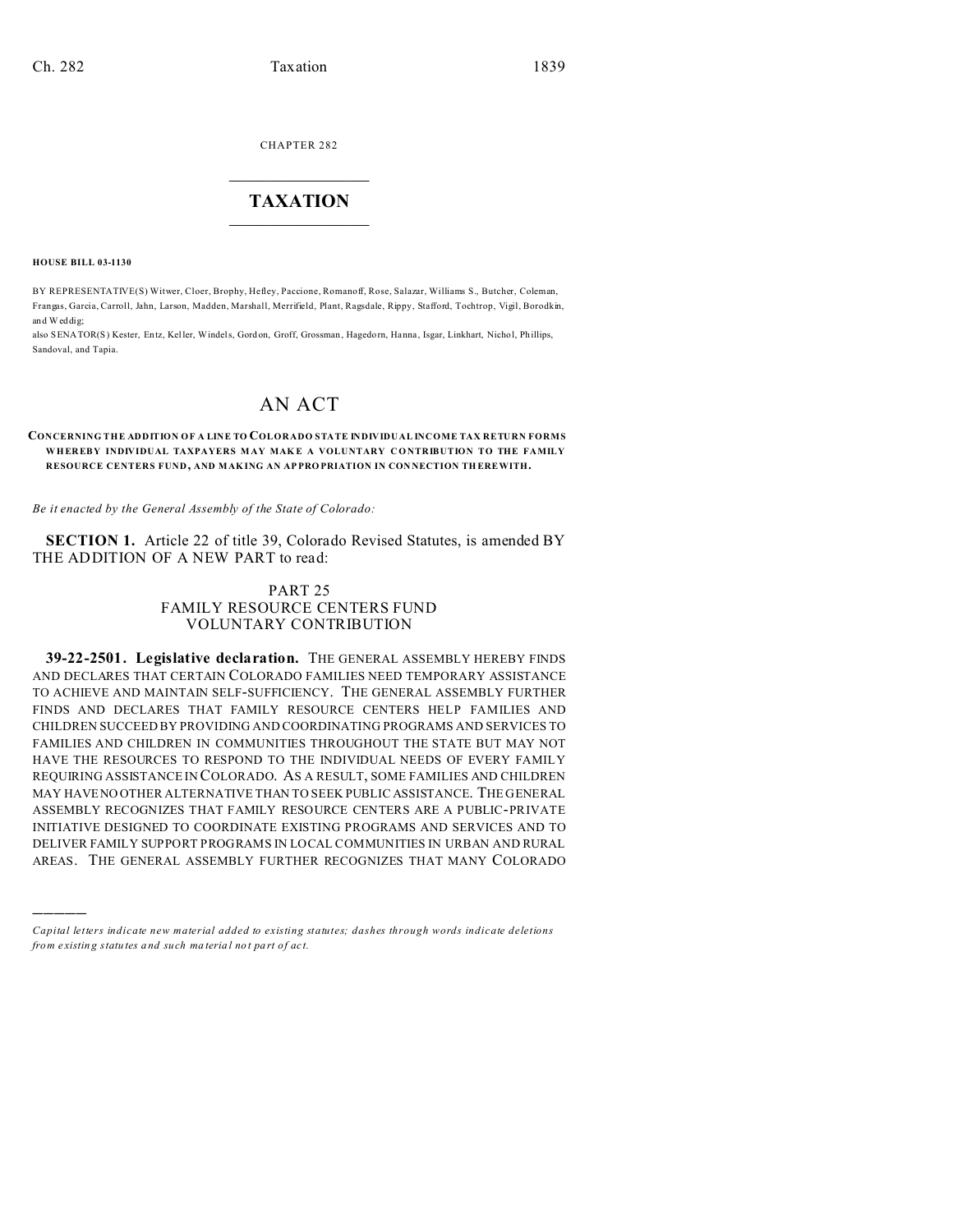CHAPTER 282  $\overline{\phantom{a}}$  , where  $\overline{\phantom{a}}$ 

## **TAXATION**  $\_$

**HOUSE BILL 03-1130**

)))))

BY REPRESENTATIVE(S) Witwer, Cloer, Brophy, Hefley, Paccione, Romanoff, Rose, Salazar, Williams S., Butcher, Coleman, Frangas, Garcia, Carroll, Jahn, Larson, Madden, Marshall, Merrifield, Plant, Ragsdale, Rippy, Stafford, Tochtrop, Vigil, Borodkin, and Weddig;

also SENATOR(S) Kester, Entz, Keller, Windels, Gord on, Groff, Grossman , Hagedorn, Hanna , Isgar, Linkhart, Nichol, Phillips, Sandoval, and Tapia.

## AN ACT

**CONCERNING THE ADDITION OF A LINE TO COLORADO STATE INDIVIDUAL INCOME TAX RETURN FORMS WHER EB Y INDIVIDUAL TAXPAYERS M AY MAK E A VOLUNTARY CONTRIBUTION TO THE FAMILY RESOURCE CENTERS FUND, AND MAK ING AN AP PRO PRIATION IN CON NECTION TH EREWITH.**

*Be it enacted by the General Assembly of the State of Colorado:*

**SECTION 1.** Article 22 of title 39, Colorado Revised Statutes, is amended BY THE ADDITION OF A NEW PART to read:

## PART 25 FAMILY RESOURCE CENTERS FUND VOLUNTARY CONTRIBUTION

**39-22-2501. Legislative declaration.** THE GENERAL ASSEMBLY HEREBY FINDS AND DECLARES THAT CERTAIN COLORADO FAMILIES NEED TEMPORARY ASSISTANCE TO ACHIEVE AND MAINTAIN SELF-SUFFICIENCY. THE GENERAL ASSEMBLY FURTHER FINDS AND DECLARES THAT FAMILY RESOURCE CENTERS HELP FAMILIES AND CHILDREN SUCCEED BY PROVIDING AND COORDINATING PROGRAMS AND SERVICES TO FAMILIES AND CHILDREN IN COMMUNITIES THROUGHOUT THE STATE BUT MAY NOT HAVE THE RESOURCES TO RESPOND TO THE INDIVIDUAL NEEDS OF EVERY FAMILY REQUIRING ASSISTANCE IN COLORADO. AS A RESULT, SOME FAMILIES AND CHILDREN MAY HAVENO OTHER ALTERNATIVE THAN TO SEEK PUBLIC ASSISTANCE. THE GENERAL ASSEMBLY RECOGNIZES THAT FAMILY RESOURCE CENTERS ARE A PUBLIC-PRIVATE INITIATIVE DESIGNED TO COORDINATE EXISTING PROGRAMS AND SERVICES AND TO DELIVER FAMILY SUPPORT PROGRAMS IN LOCAL COMMUNITIES IN URBAN AND RURAL AREAS. THE GENERAL ASSEMBLY FURTHER RECOGNIZES THAT MANY COLORADO

*Capital letters indicate new material added to existing statutes; dashes through words indicate deletions from e xistin g statu tes a nd such ma teria l no t pa rt of ac t.*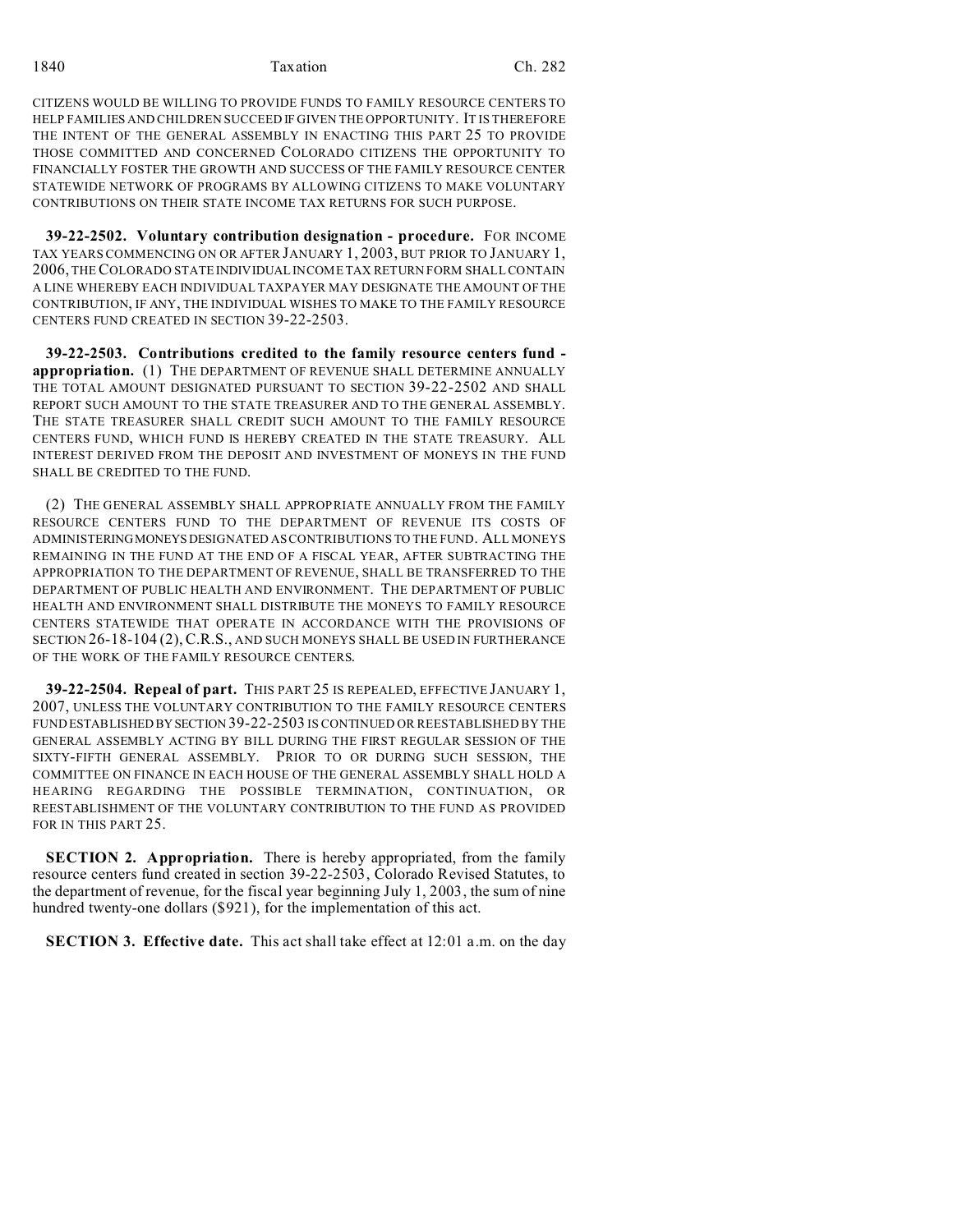1840 Taxation Ch. 282

CITIZENS WOULD BE WILLING TO PROVIDE FUNDS TO FAMILY RESOURCE CENTERS TO HELP FAMILIES AND CHILDREN SUCCEED IF GIVEN THE OPPORTUNITY. IT IS THEREFORE THE INTENT OF THE GENERAL ASSEMBLY IN ENACTING THIS PART 25 TO PROVIDE THOSE COMMITTED AND CONCERNED COLORADO CITIZENS THE OPPORTUNITY TO FINANCIALLY FOSTER THE GROWTH AND SUCCESS OF THE FAMILY RESOURCE CENTER STATEWIDE NETWORK OF PROGRAMS BY ALLOWING CITIZENS TO MAKE VOLUNTARY CONTRIBUTIONS ON THEIR STATE INCOME TAX RETURNS FOR SUCH PURPOSE.

**39-22-2502. Voluntary contribution designation - procedure.** FOR INCOME TAX YEARS COMMENCING ON OR AFTER JANUARY 1, 2003, BUT PRIOR TO JANUARY 1, 2006, THECOLORADO STATE INDIVIDUAL INCOME TAX RETURN FORM SHALL CONTAIN A LINE WHEREBY EACH INDIVIDUAL TAXPAYER MAY DESIGNATE THE AMOUNT OF THE CONTRIBUTION, IF ANY, THE INDIVIDUAL WISHES TO MAKE TO THE FAMILY RESOURCE CENTERS FUND CREATED IN SECTION 39-22-2503.

**39-22-2503. Contributions credited to the family resource centers fund appropriation.** (1) THE DEPARTMENT OF REVENUE SHALL DETERMINE ANNUALLY THE TOTAL AMOUNT DESIGNATED PURSUANT TO SECTION 39-22-2502 AND SHALL REPORT SUCH AMOUNT TO THE STATE TREASURER AND TO THE GENERAL ASSEMBLY. THE STATE TREASURER SHALL CREDIT SUCH AMOUNT TO THE FAMILY RESOURCE CENTERS FUND, WHICH FUND IS HEREBY CREATED IN THE STATE TREASURY. ALL INTEREST DERIVED FROM THE DEPOSIT AND INVESTMENT OF MONEYS IN THE FUND SHALL BE CREDITED TO THE FUND.

(2) THE GENERAL ASSEMBLY SHALL APPROPRIATE ANNUALLY FROM THE FAMILY RESOURCE CENTERS FUND TO THE DEPARTMENT OF REVENUE ITS COSTS OF ADMINISTERINGMONEYSDESIGNATED AS CONTRIBUTIONS TO THE FUND. ALL MONEYS REMAINING IN THE FUND AT THE END OF A FISCAL YEAR, AFTER SUBTRACTING THE APPROPRIATION TO THE DEPARTMENT OF REVENUE, SHALL BE TRANSFERRED TO THE DEPARTMENT OF PUBLIC HEALTH AND ENVIRONMENT. THE DEPARTMENT OF PUBLIC HEALTH AND ENVIRONMENT SHALL DISTRIBUTE THE MONEYS TO FAMILY RESOURCE CENTERS STATEWIDE THAT OPERATE IN ACCORDANCE WITH THE PROVISIONS OF SECTION 26-18-104 (2),C.R.S., AND SUCH MONEYS SHALL BE USED IN FURTHERANCE OF THE WORK OF THE FAMILY RESOURCE CENTERS.

**39-22-2504. Repeal of part.** THIS PART 25 IS REPEALED, EFFECTIVE JANUARY 1, 2007, UNLESS THE VOLUNTARY CONTRIBUTION TO THE FAMILY RESOURCE CENTERS FUND ESTABLISHED BY SECTION 39-22-2503 IS CONTINUED OR REESTABLISHED BY THE GENERAL ASSEMBLY ACTING BY BILL DURING THE FIRST REGULAR SESSION OF THE SIXTY-FIFTH GENERAL ASSEMBLY. PRIOR TO OR DURING SUCH SESSION, THE COMMITTEE ON FINANCE IN EACH HOUSE OF THE GENERAL ASSEMBLY SHALL HOLD A HEARING REGARDING THE POSSIBLE TERMINATION, CONTINUATION, OR REESTABLISHMENT OF THE VOLUNTARY CONTRIBUTION TO THE FUND AS PROVIDED FOR IN THIS PART 25.

**SECTION 2. Appropriation.** There is hereby appropriated, from the family resource centers fund created in section 39-22-2503, Colorado Revised Statutes, to the department of revenue, for the fiscal year beginning July 1, 2003, the sum of nine hundred twenty-one dollars (\$921), for the implementation of this act.

**SECTION 3. Effective date.** This act shall take effect at 12:01 a.m. on the day